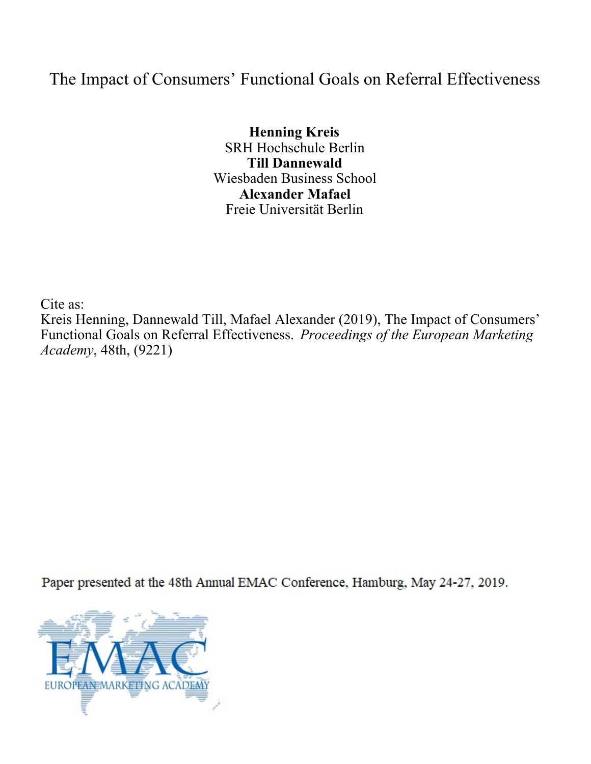# The Impact of Consumers' Functional Goals on Referral Effectiveness

**Henning Kreis** SRH Hochschule Berlin **Till Dannewald** Wiesbaden Business School **Alexander Mafael** Freie Universität Berlin

Cite as: Kreis Henning, Dannewald Till, Mafael Alexander (2019), The Impact of Consumers' Functional Goals on Referral Effectiveness. *Proceedings of the European Marketing Academy*, 48th, (9221)

Paper presented at the 48th Annual EMAC Conference, Hamburg, May 24-27, 2019.

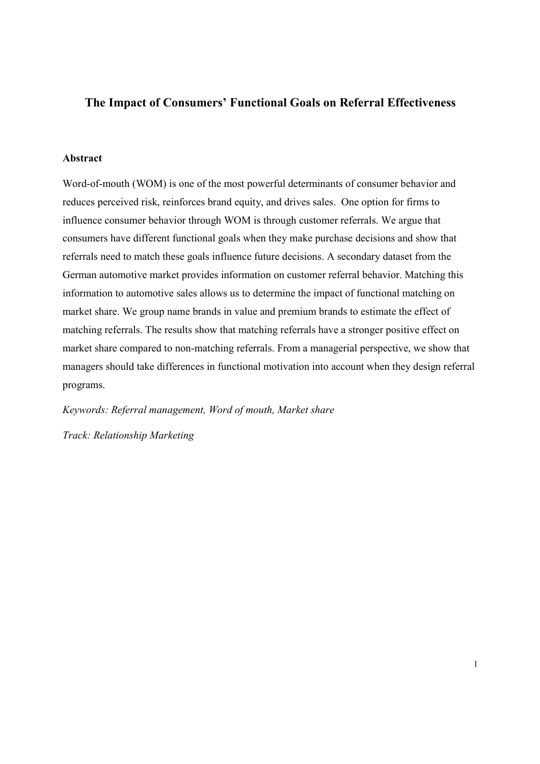# **The Impact of Consumers' Functional Goals on Referral Effectiveness**

# **Abstract**

Word-of-mouth (WOM) is one of the most powerful determinants of consumer behavior and reduces perceived risk, reinforces brand equity, and drives sales. One option for firms to influence consumer behavior through WOM is through customer referrals. We argue that consumers have different functional goals when they make purchase decisions and show that referrals need to match these goals influence future decisions. A secondary dataset from the German automotive market provides information on customer referral behavior. Matching this information to automotive sales allows us to determine the impact of functional matching on market share. We group name brands in value and premium brands to estimate the effect of matching referrals. The results show that matching referrals have a stronger positive effect on market share compared to non-matching referrals. From a managerial perspective, we show that managers should take differences in functional motivation into account when they design referral programs.

*Keywords: Referral management, Word of mouth, Market share*

*Track: Relationship Marketing*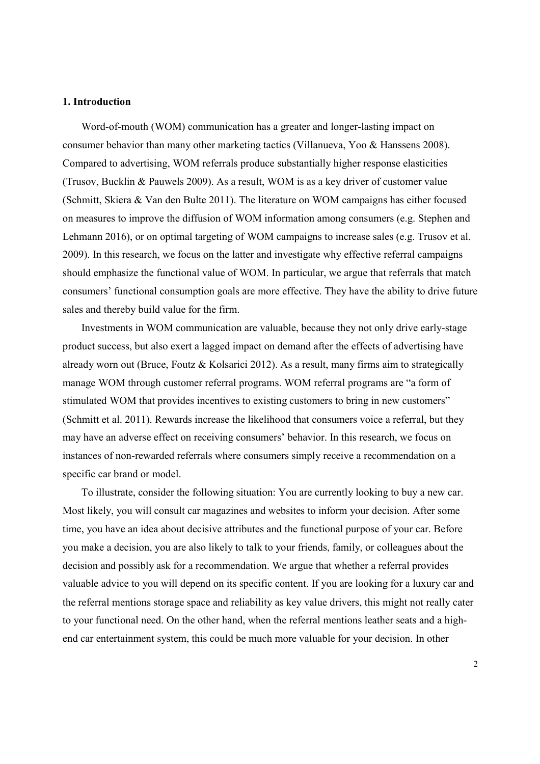#### **1. Introduction**

Word-of-mouth (WOM) communication has a greater and longer-lasting impact on consumer behavior than many other marketing tactics (Villanueva, Yoo & Hanssens 2008). Compared to advertising, WOM referrals produce substantially higher response elasticities (Trusov, Bucklin & Pauwels 2009). As a result, WOM is as a key driver of customer value (Schmitt, Skiera & Van den Bulte 2011). The literature on WOM campaigns has either focused on measures to improve the diffusion of WOM information among consumers (e.g. Stephen and Lehmann 2016), or on optimal targeting of WOM campaigns to increase sales (e.g. Trusov et al. 2009). In this research, we focus on the latter and investigate why effective referral campaigns should emphasize the functional value of WOM. In particular, we argue that referrals that match consumers' functional consumption goals are more effective. They have the ability to drive future sales and thereby build value for the firm.

Investments in WOM communication are valuable, because they not only drive early-stage product success, but also exert a lagged impact on demand after the effects of advertising have already worn out (Bruce, Foutz & Kolsarici 2012). As a result, many firms aim to strategically manage WOM through customer referral programs. WOM referral programs are "a form of stimulated WOM that provides incentives to existing customers to bring in new customers" (Schmitt et al. 2011). Rewards increase the likelihood that consumers voice a referral, but they may have an adverse effect on receiving consumers' behavior. In this research, we focus on instances of non-rewarded referrals where consumers simply receive a recommendation on a specific car brand or model.

To illustrate, consider the following situation: You are currently looking to buy a new car. Most likely, you will consult car magazines and websites to inform your decision. After some time, you have an idea about decisive attributes and the functional purpose of your car. Before you make a decision, you are also likely to talk to your friends, family, or colleagues about the decision and possibly ask for a recommendation. We argue that whether a referral provides valuable advice to you will depend on its specific content. If you are looking for a luxury car and the referral mentions storage space and reliability as key value drivers, this might not really cater to your functional need. On the other hand, when the referral mentions leather seats and a highend car entertainment system, this could be much more valuable for your decision. In other

 $\overline{2}$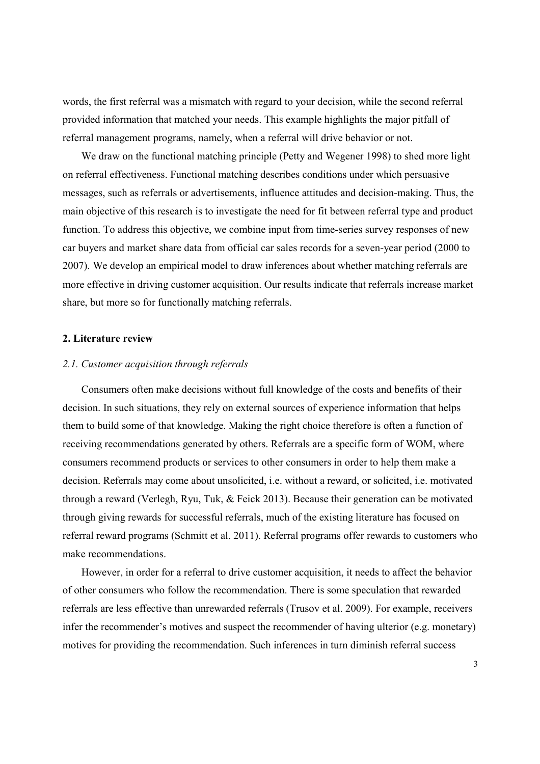words, the first referral was a mismatch with regard to your decision, while the second referral provided information that matched your needs. This example highlights the major pitfall of referral management programs, namely, when a referral will drive behavior or not.

We draw on the functional matching principle (Petty and Wegener 1998) to shed more light on referral effectiveness. Functional matching describes conditions under which persuasive messages, such as referrals or advertisements, influence attitudes and decision-making. Thus, the main objective of this research is to investigate the need for fit between referral type and product function. To address this objective, we combine input from time-series survey responses of new car buyers and market share data from official car sales records for a seven-year period (2000 to 2007). We develop an empirical model to draw inferences about whether matching referrals are more effective in driving customer acquisition. Our results indicate that referrals increase market share, but more so for functionally matching referrals.

# **2. Literature review**

# *2.1. Customer acquisition through referrals*

Consumers often make decisions without full knowledge of the costs and benefits of their decision. In such situations, they rely on external sources of experience information that helps them to build some of that knowledge. Making the right choice therefore is often a function of receiving recommendations generated by others. Referrals are a specific form of WOM, where consumers recommend products or services to other consumers in order to help them make a decision. Referrals may come about unsolicited, i.e. without a reward, or solicited, i.e. motivated through a reward (Verlegh, Ryu, Tuk, & Feick 2013). Because their generation can be motivated through giving rewards for successful referrals, much of the existing literature has focused on referral reward programs (Schmitt et al. 2011). Referral programs offer rewards to customers who make recommendations.

However, in order for a referral to drive customer acquisition, it needs to affect the behavior of other consumers who follow the recommendation. There is some speculation that rewarded referrals are less effective than unrewarded referrals (Trusov et al. 2009). For example, receivers infer the recommender's motives and suspect the recommender of having ulterior (e.g. monetary) motives for providing the recommendation. Such inferences in turn diminish referral success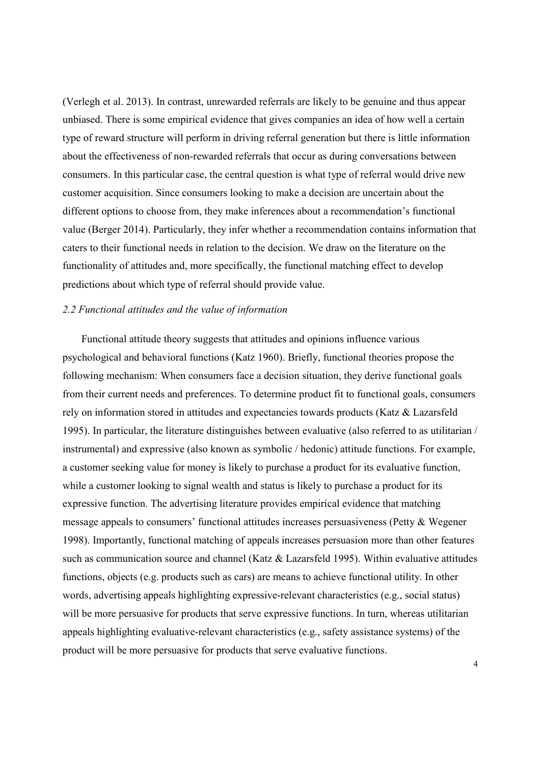(Verlegh et al. 2013). In contrast, unrewarded referrals are likely to be genuine and thus appear unbiased. There is some empirical evidence that gives companies an idea of how well a certain type of reward structure will perform in driving referral generation but there is little information about the effectiveness of non-rewarded referrals that occur as during conversations between consumers. In this particular case, the central question is what type of referral would drive new customer acquisition. Since consumers looking to make a decision are uncertain about the different options to choose from, they make inferences about a recommendation's functional value (Berger 2014). Particularly, they infer whether a recommendation contains information that caters to their functional needs in relation to the decision. We draw on the literature on the functionality of attitudes and, more specifically, the functional matching effect to develop predictions about which type of referral should provide value.

# *2.2 Functional attitudes and the value of information*

Functional attitude theory suggests that attitudes and opinions influence various psychological and behavioral functions (Katz 1960). Briefly, functional theories propose the following mechanism: When consumers face a decision situation, they derive functional goals from their current needs and preferences. To determine product fit to functional goals, consumers rely on information stored in attitudes and expectancies towards products (Katz & Lazarsfeld 1995). In particular, the literature distinguishes between evaluative (also referred to as utilitarian / instrumental) and expressive (also known as symbolic / hedonic) attitude functions. For example, a customer seeking value for money is likely to purchase a product for its evaluative function, while a customer looking to signal wealth and status is likely to purchase a product for its expressive function. The advertising literature provides empirical evidence that matching message appeals to consumers' functional attitudes increases persuasiveness (Petty & Wegener 1998). Importantly, functional matching of appeals increases persuasion more than other features such as communication source and channel (Katz & Lazarsfeld 1995). Within evaluative attitudes functions, objects (e.g. products such as cars) are means to achieve functional utility. In other words, advertising appeals highlighting expressive-relevant characteristics (e.g., social status) will be more persuasive for products that serve expressive functions. In turn, whereas utilitarian appeals highlighting evaluative-relevant characteristics (e.g., safety assistance systems) of the product will be more persuasive for products that serve evaluative functions.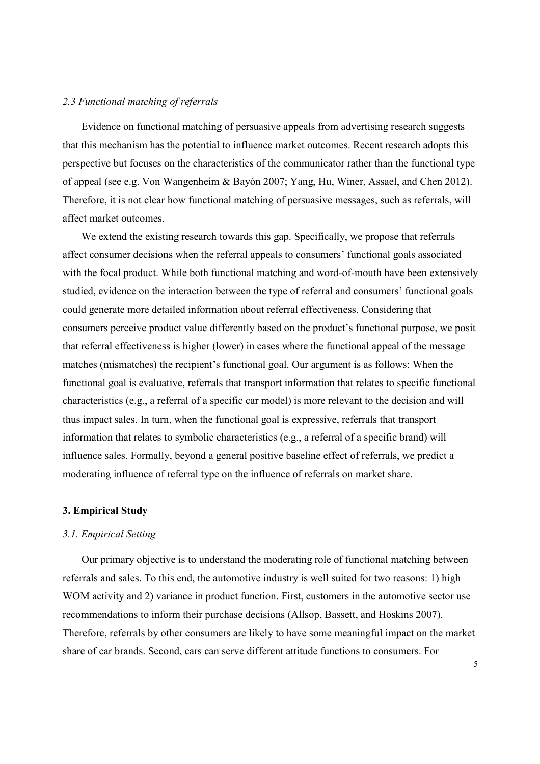#### *2.3 Functional matching of referrals*

Evidence on functional matching of persuasive appeals from advertising research suggests that this mechanism has the potential to influence market outcomes. Recent research adopts this perspective but focuses on the characteristics of the communicator rather than the functional type of appeal (see e.g. Von Wangenheim & Bayón 2007; Yang, Hu, Winer, Assael, and Chen 2012). Therefore, it is not clear how functional matching of persuasive messages, such as referrals, will affect market outcomes.

We extend the existing research towards this gap. Specifically, we propose that referrals affect consumer decisions when the referral appeals to consumers' functional goals associated with the focal product. While both functional matching and word-of-mouth have been extensively studied, evidence on the interaction between the type of referral and consumers' functional goals could generate more detailed information about referral effectiveness. Considering that consumers perceive product value differently based on the product's functional purpose, we posit that referral effectiveness is higher (lower) in cases where the functional appeal of the message matches (mismatches) the recipient's functional goal. Our argument is as follows: When the functional goal is evaluative, referrals that transport information that relates to specific functional characteristics (e.g., a referral of a specific car model) is more relevant to the decision and will thus impact sales. In turn, when the functional goal is expressive, referrals that transport information that relates to symbolic characteristics (e.g., a referral of a specific brand) will influence sales. Formally, beyond a general positive baseline effect of referrals, we predict a moderating influence of referral type on the influence of referrals on market share.

# **3. Empirical Study**

#### *3.1. Empirical Setting*

Our primary objective is to understand the moderating role of functional matching between referrals and sales. To this end, the automotive industry is well suited for two reasons: 1) high WOM activity and 2) variance in product function. First, customers in the automotive sector use recommendations to inform their purchase decisions (Allsop, Bassett, and Hoskins 2007). Therefore, referrals by other consumers are likely to have some meaningful impact on the market share of car brands. Second, cars can serve different attitude functions to consumers. For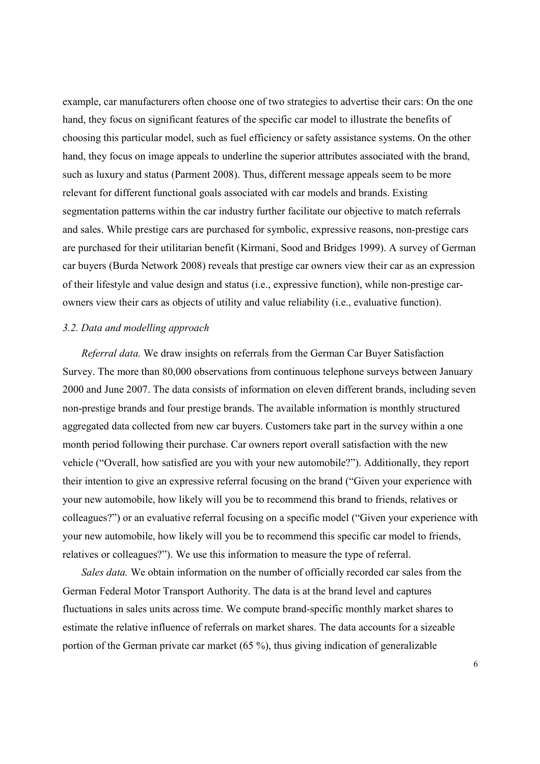example, car manufacturers often choose one of two strategies to advertise their cars: On the one hand, they focus on significant features of the specific car model to illustrate the benefits of choosing this particular model, such as fuel efficiency or safety assistance systems. On the other hand, they focus on image appeals to underline the superior attributes associated with the brand, such as luxury and status (Parment 2008). Thus, different message appeals seem to be more relevant for different functional goals associated with car models and brands. Existing segmentation patterns within the car industry further facilitate our objective to match referrals and sales. While prestige cars are purchased for symbolic, expressive reasons, non-prestige cars are purchased for their utilitarian benefit (Kirmani, Sood and Bridges 1999). A survey of German car buyers (Burda Network 2008) reveals that prestige car owners view their car as an expression of their lifestyle and value design and status (i.e., expressive function), while non-prestige carowners view their cars as objects of utility and value reliability (i.e., evaluative function).

#### *3.2. Data and modelling approach*

*Referral data.* We draw insights on referrals from the German Car Buyer Satisfaction Survey. The more than 80,000 observations from continuous telephone surveys between January 2000 and June 2007. The data consists of information on eleven different brands, including seven non-prestige brands and four prestige brands. The available information is monthly structured aggregated data collected from new car buyers. Customers take part in the survey within a one month period following their purchase. Car owners report overall satisfaction with the new vehicle ("Overall, how satisfied are you with your new automobile?"). Additionally, they report their intention to give an expressive referral focusing on the brand ("Given your experience with your new automobile, how likely will you be to recommend this brand to friends, relatives or colleagues?") or an evaluative referral focusing on a specific model ("Given your experience with your new automobile, how likely will you be to recommend this specific car model to friends, relatives or colleagues?"). We use this information to measure the type of referral.

*Sales data.* We obtain information on the number of officially recorded car sales from the German Federal Motor Transport Authority. The data is at the brand level and captures fluctuations in sales units across time. We compute brand-specific monthly market shares to estimate the relative influence of referrals on market shares. The data accounts for a sizeable portion of the German private car market (65 %), thus giving indication of generalizable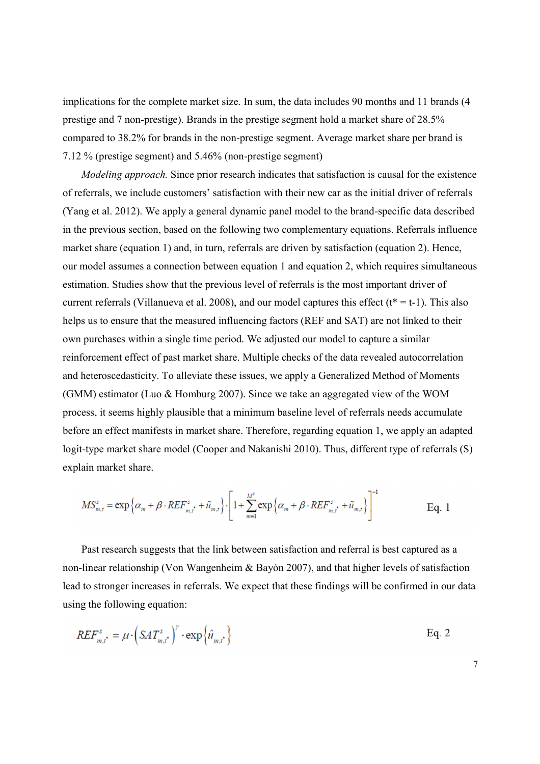implications for the complete market size. In sum, the data includes 90 months and 11 brands (4 prestige and 7 non-prestige). Brands in the prestige segment hold a market share of 28.5% compared to 38.2% for brands in the non-prestige segment. Average market share per brand is 7.12 % (prestige segment) and 5.46% (non-prestige segment)

*Modeling approach.* Since prior research indicates that satisfaction is causal for the existence of referrals, we include customers' satisfaction with their new car as the initial driver of referrals (Yang et al. 2012). We apply a general dynamic panel model to the brand-specific data described in the previous section, based on the following two complementary equations. Referrals influence market share (equation 1) and, in turn, referrals are driven by satisfaction (equation 2). Hence, our model assumes a connection between equation 1 and equation 2, which requires simultaneous estimation. Studies show that the previous level of referrals is the most important driver of current referrals (Villanueva et al. 2008), and our model captures this effect ( $t^* = t-1$ ). This also helps us to ensure that the measured influencing factors (REF and SAT) are not linked to their own purchases within a single time period. We adjusted our model to capture a similar reinforcement effect of past market share. Multiple checks of the data revealed autocorrelation and heteroscedasticity. To alleviate these issues, we apply a Generalized Method of Moments (GMM) estimator (Luo & Homburg 2007). Since we take an aggregated view of the WOM process, it seems highly plausible that a minimum baseline level of referrals needs accumulate before an effect manifests in market share. Therefore, regarding equation 1, we apply an adapted logit-type market share model (Cooper and Nakanishi 2010). Thus, different type of referrals (S) explain market share.

$$
MS_{m,t}^s = \exp\left\{\alpha_m + \beta \cdot REF_{m,t}^s + \tilde{u}_{m,t}\right\} \cdot \left[1 + \sum_{m=1}^{M^s} \exp\left\{\alpha_m + \beta \cdot REF_{m,t}^s + \tilde{u}_{m,t}\right\}\right]^{-1}
$$
 Eq. 1

Past research suggests that the link between satisfaction and referral is best captured as a non-linear relationship (Von Wangenheim & Bayón 2007), and that higher levels of satisfaction lead to stronger increases in referrals. We expect that these findings will be confirmed in our data using the following equation:

$$
REF_{m,t^*}^s = \mu \cdot \left(SAT_{m,t^*}^s\right)^{\gamma} \cdot \exp\left\{\hat{u}_{m,t^*}\right\}
$$
 Eq. 2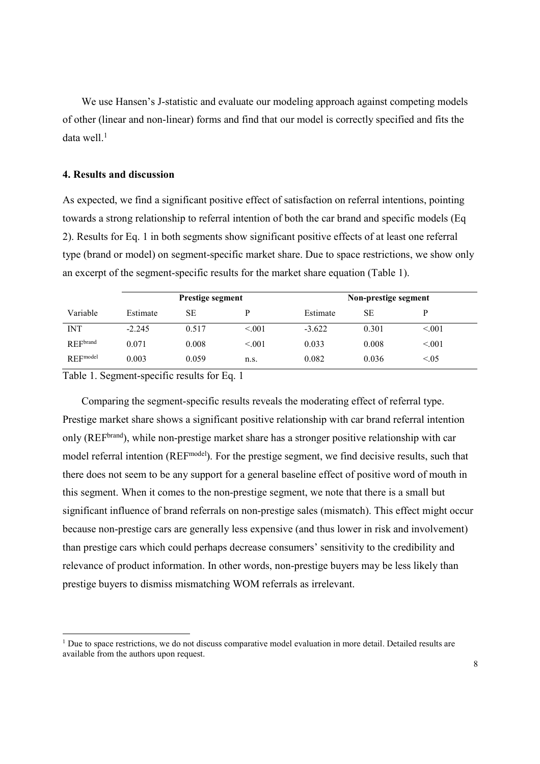We use Hansen's J-statistic and evaluate our modeling approach against competing models of other (linear and non-linear) forms and find that our model is correctly specified and fits the data well. $<sup>1</sup>$ </sup>

# **4. Results and discussion**

As expected, we find a significant positive effect of satisfaction on referral intentions, pointing towards a strong relationship to referral intention of both the car brand and specific models (Eq 2). Results for Eq. 1 in both segments show significant positive effects of at least one referral type (brand or model) on segment-specific market share. Due to space restrictions, we show only an excerpt of the segment-specific results for the market share equation (Table 1).

|                 | <b>Prestige segment</b> |       |         | Non-prestige segment |       |        |  |
|-----------------|-------------------------|-------|---------|----------------------|-------|--------|--|
| Variable        | Estimate                | SE    |         | Estimate             | SE    |        |  |
| <b>INT</b>      | $-2.245$                | 0.517 | < 0.001 | $-3.622$             | 0.301 | < 0.01 |  |
| REFbrand        | 0.071                   | 0.008 | < 0.001 | 0.033                | 0.008 | < 0.01 |  |
| <b>REFmodel</b> | 0.003                   | 0.059 | n.s.    | 0.082                | 0.036 | < 0.05 |  |

Table 1. Segment-specific results for Eq. 1

l

Comparing the segment-specific results reveals the moderating effect of referral type. Prestige market share shows a significant positive relationship with car brand referral intention only (REF<sup>brand</sup>), while non-prestige market share has a stronger positive relationship with car model referral intention (REF<sup>model</sup>). For the prestige segment, we find decisive results, such that there does not seem to be any support for a general baseline effect of positive word of mouth in this segment. When it comes to the non-prestige segment, we note that there is a small but significant influence of brand referrals on non-prestige sales (mismatch). This effect might occur because non-prestige cars are generally less expensive (and thus lower in risk and involvement) than prestige cars which could perhaps decrease consumers' sensitivity to the credibility and relevance of product information. In other words, non-prestige buyers may be less likely than prestige buyers to dismiss mismatching WOM referrals as irrelevant.

<sup>&</sup>lt;sup>1</sup> Due to space restrictions, we do not discuss comparative model evaluation in more detail. Detailed results are available from the authors upon request.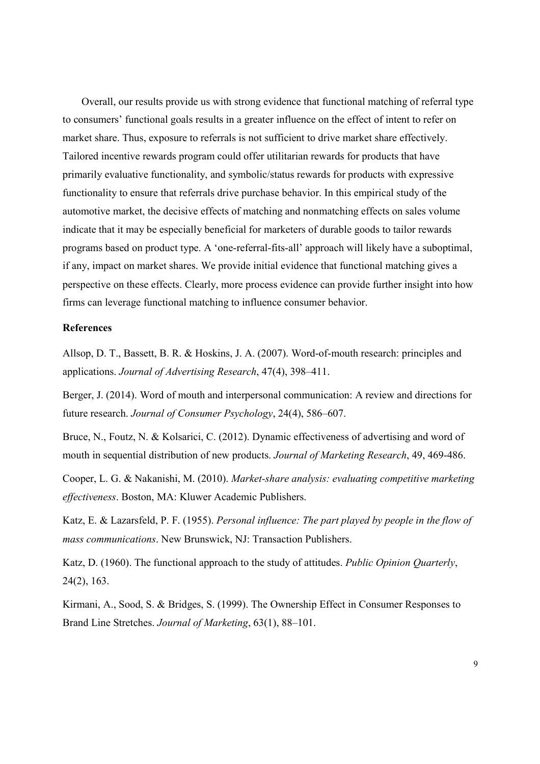Overall, our results provide us with strong evidence that functional matching of referral type to consumers' functional goals results in a greater influence on the effect of intent to refer on market share. Thus, exposure to referrals is not sufficient to drive market share effectively. Tailored incentive rewards program could offer utilitarian rewards for products that have primarily evaluative functionality, and symbolic/status rewards for products with expressive functionality to ensure that referrals drive purchase behavior. In this empirical study of the automotive market, the decisive effects of matching and nonmatching effects on sales volume indicate that it may be especially beneficial for marketers of durable goods to tailor rewards programs based on product type. A 'one-referral-fits-all' approach will likely have a suboptimal, if any, impact on market shares. We provide initial evidence that functional matching gives a perspective on these effects. Clearly, more process evidence can provide further insight into how firms can leverage functional matching to influence consumer behavior.

### **References**

Allsop, D. T., Bassett, B. R. & Hoskins, J. A. (2007). Word-of-mouth research: principles and applications. *Journal of Advertising Research*, 47(4), 398–411.

Berger, J. (2014). Word of mouth and interpersonal communication: A review and directions for future research. *Journal of Consumer Psychology*, 24(4), 586–607.

Bruce, N., Foutz, N. & Kolsarici, C. (2012). Dynamic effectiveness of advertising and word of mouth in sequential distribution of new products. *Journal of Marketing Research*, 49, 469-486.

Cooper, L. G. & Nakanishi, M. (2010). *Market-share analysis: evaluating competitive marketing effectiveness*. Boston, MA: Kluwer Academic Publishers.

Katz, E. & Lazarsfeld, P. F. (1955). *Personal influence: The part played by people in the flow of mass communications*. New Brunswick, NJ: Transaction Publishers.

Katz, D. (1960). The functional approach to the study of attitudes. *Public Opinion Quarterly*, 24(2), 163.

Kirmani, A., Sood, S. & Bridges, S. (1999). The Ownership Effect in Consumer Responses to Brand Line Stretches. *Journal of Marketing*, 63(1), 88–101.